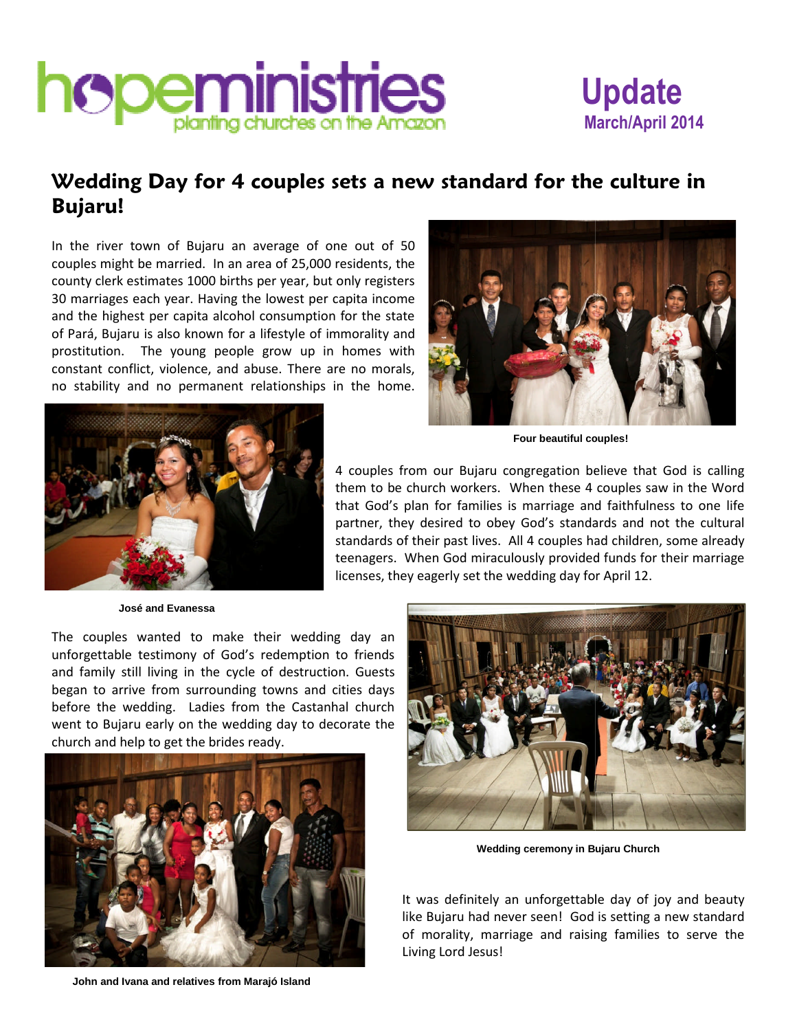# **March/April 2014**

# Wedding Day for 4 couples sets a new standard for the culture **Bujaru!**

In the river town of Bujaru an average of one out of 50 couples might be married. In an area of 25,000 residents, the county clerk estimates 1000 births per year, but only registers 30 marriages each year. Having the lowest per capita income and the highest per capita alcohol consumption for the state of Pará, Bujaru is also known for a lifestyle of prostitution. The young people grow up in homes with constant conflict, violence, and abuse. There are no morals, no stability and no permanent relationships in the home. lerk estimates 1000 births per year, but only registers<br>ages each year. Having the lowest per capita income<br>highest per capita alcohol consumption for the state<br>Bujaru is also known for a lifestyle of immorality and



**Four beautiful couples!** 



**José and Evanessa**

them to be church workers. When these 4 couples saw in the Word that God's plan for families is marriage and faithfulness to one life partner, they desired to obey God's standards and not the cultural standards of their past lives. All 4 couples had children, some already teenagers. When God miraculously provided funds for their marriage licenses, they eagerly set the wedding day for April 12. uples from our Bujaru congregation believe that God is callinute to be church workers. When these 4 couples saw in the Wor God's plan for families is marriage and faithfulness to one lifter, they desired to obey God's stan

The couples wanted to make their wedding day an unforgettable testimony of God's redemption to friends and family still living in the cycle of destruction. Guests began to arrive from surrounding towns and cities days before the wedding. Ladies from the Castanhal church went to Bujaru early on the wedding day to decorate the church and help to get the brides ready.



**John and Ivana and relatives from Marajó Island**



**Wedding ceremony in Bujaru Church**

like Bujaru had never seen! God is setting a new standard of morality, marriage and raising families to serve the Living Lord Jesus! It was definitely an unforgettable day of joy and beauty